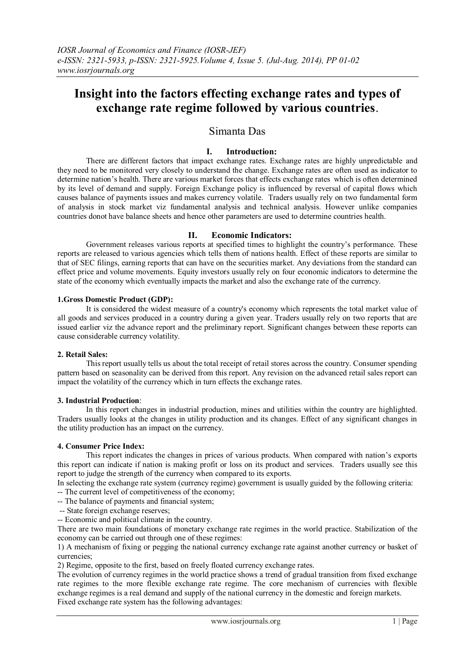# **Insight into the factors effecting exchange rates and types of exchange rate regime followed by various countries**.

# Simanta Das

## **I. Introduction:**

There are different factors that impact exchange rates. Exchange rates are highly unpredictable and they need to be monitored very closely to understand the change. Exchange rates are often used as indicator to determine nation's health. There are various market forces that effects exchange rates which is often determined by its level of demand and supply. Foreign Exchange policy is influenced by reversal of capital flows which causes balance of payments issues and makes currency volatile. Traders usually rely on two fundamental form of analysis in stock market viz fundamental analysis and technical analysis. However unlike companies countries donot have balance sheets and hence other parameters are used to determine countries health.

#### **II. Economic Indicators:**

Government releases various reports at specified times to highlight the country's performance. These reports are released to various agencies which tells them of nations health. Effect of these reports are similar to that of SEC filings, earning reports that can have on the securities market. Any deviations from the standard can effect price and volume movements. Equity investors usually rely on four economic indicators to determine the state of the economy which eventually impacts the market and also the exchange rate of the currency.

#### **1.Gross Domestic Product (GDP):**

It is considered the widest measure of a country's economy which represents the total market value of all goods and services produced in a country during a given year. Traders usually rely on two reports that are issued earlier viz the advance report and the preliminary report. Significant changes between these reports can cause considerable currency volatility.

#### **2. Retail Sales:**

This report usually tells us about the total receipt of retail stores across the country. Consumer spending pattern based on seasonality can be derived from this report. Any revision on the advanced retail sales report can impact the volatility of the currency which in turn effects the exchange rates.

#### **3. Industrial Production**:

In this report changes in industrial production, mines and utilities within the country are highlighted. Traders usually looks at the changes in utility production and its changes. Effect of any significant changes in the utility production has an impact on the currency.

## **4. Consumer Price Index:**

This report indicates the changes in prices of various products. When compared with nation's exports this report can indicate if nation is making profit or loss on its product and services. Traders usually see this report to judge the strength of the currency when compared to its exports.

In selecting the exchange rate system (currency regime) government is usually guided by the following criteria:

- -- The current level of competitiveness of the economy;
- -- The balance of payments and financial system;
- -- State foreign exchange reserves;
- -- Economic and political climate in the country.

There are two main foundations of monetary exchange rate regimes in the world practice. Stabilization of the economy can be carried out through one of these regimes:

1) A mechanism of fixing or pegging the national currency exchange rate against another currency or basket of currencies;

2) Regime, opposite to the first, based on freely floated currency exchange rates.

The evolution of currency regimes in the world practice shows a trend of gradual transition from fixed exchange rate regimes to the more flexible exchange rate regime. The core mechanism of currencies with flexible exchange regimes is a real demand and supply of the national currency in the domestic and foreign markets. Fixed exchange rate system has the following advantages: